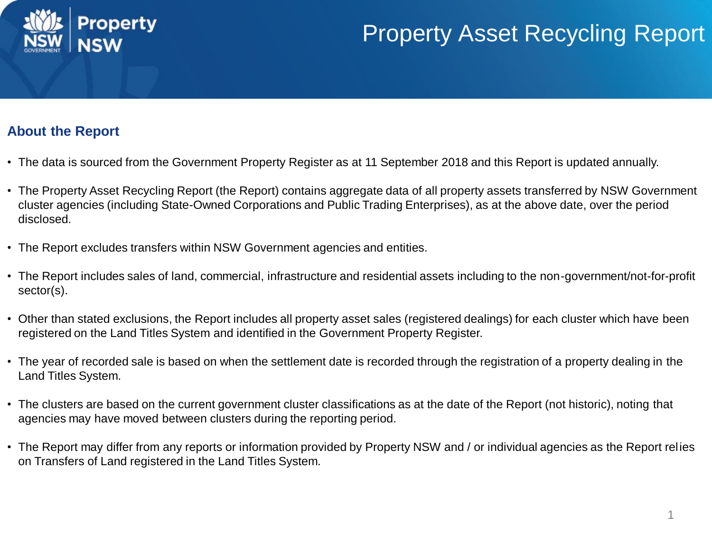

## Property Asset Recycling Report

## **About the Report**

- The data is sourced from the Government Property Register as at 11 September 2018 and this Report is updated annually.
- The Property Asset Recycling Report (the Report) contains aggregate data of all property assets transferred by NSW Government cluster agencies (including State-Owned Corporations and Public Trading Enterprises), as at the above date, over the period disclosed.
- The Report excludes transfers within NSW Government agencies and entities.
- The Report includes sales of land, commercial, infrastructure and residential assets including to the non-government/not-for-profit sector(s).
- Other than stated exclusions, the Report includes all property asset sales (registered dealings) for each cluster which have been registered on the Land Titles System and identified in the Government Property Register.
- The year of recorded sale is based on when the settlement date is recorded through the registration of a property dealing in the Land Titles System.
- The clusters are based on the current government cluster classifications as at the date of the Report (not historic), noting that agencies may have moved between clusters during the reporting period.
- The Report may differ from any reports or information provided by Property NSW and / or individual agencies as the Report relies on Transfers of Land registered in the Land Titles System.